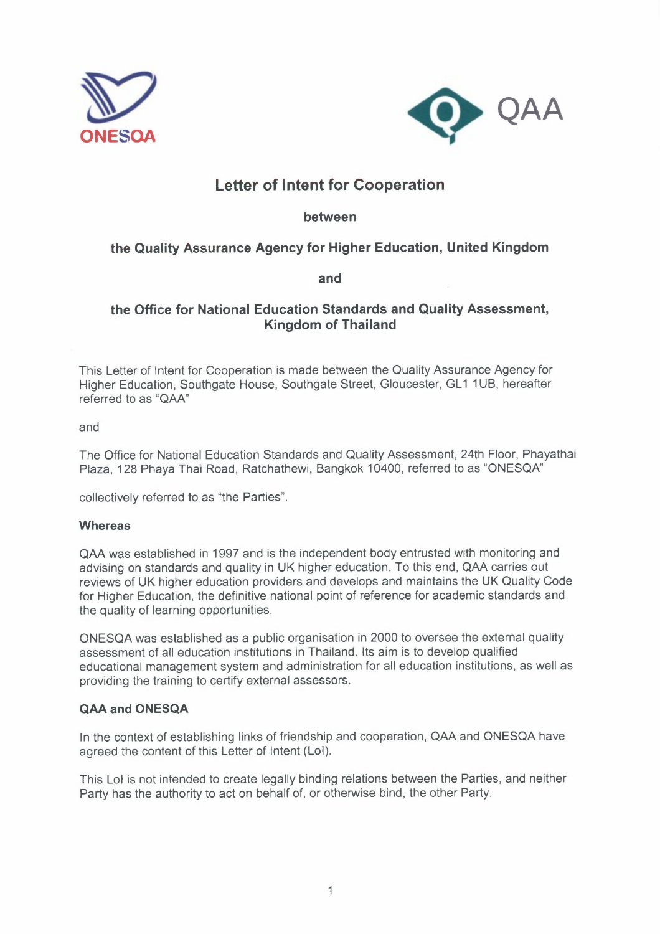



# **Letter of Intent for Cooperation**

**between** 

# **the Quality Assurance Agency for Higher Education, United Kingdom**

**and** 

## **the Office for National Education Standards and Quality Assessment, Kingdom of Thailand**

This Letter of Intent for Cooperation is made between the Quality Assurance Agency for Higher Education, Southgate House, Southgate Street, Gloucester, GL1 1UB, hereafter referred to as **"QAA"** 

and

The Office for National Education Standards and Quality Assessment, 24th Floor, Phayathai Plaza, 128 Phaya Thai Road, Ratchathewi, Bangkok 10400, referred to as "ONESQA"

collectively referred to as "the Parties".

## **Whereas**

QAA was established in 1997 and is the independent body entrusted with monitoring and advising on standards and quality in UK higher education. To this end, QAA carries out reviews of UK higher education providers and develops and maintains the UK Quality Code for Higher Education, the definitive national point of reference for academic standards and the quality of learning opportunities.

ONESQA was established as a public organisation in 2000 to oversee the external quality assessment of all education institutions in Thailand. Its aim is to develop qualified educational management system and administration for all education institutions, as well as providing the training to certify external assessors.

## **QAA and ONESQA**

ln the context of establishing links of friendship and cooperation, QAA and ONESQA have agreed the content of this Letter of Intent (Lol).

This Lol is not intended to create legally binding relations between the Parties, and neither Party has the authority to act on behalf of, or otherwise bind, the other Party.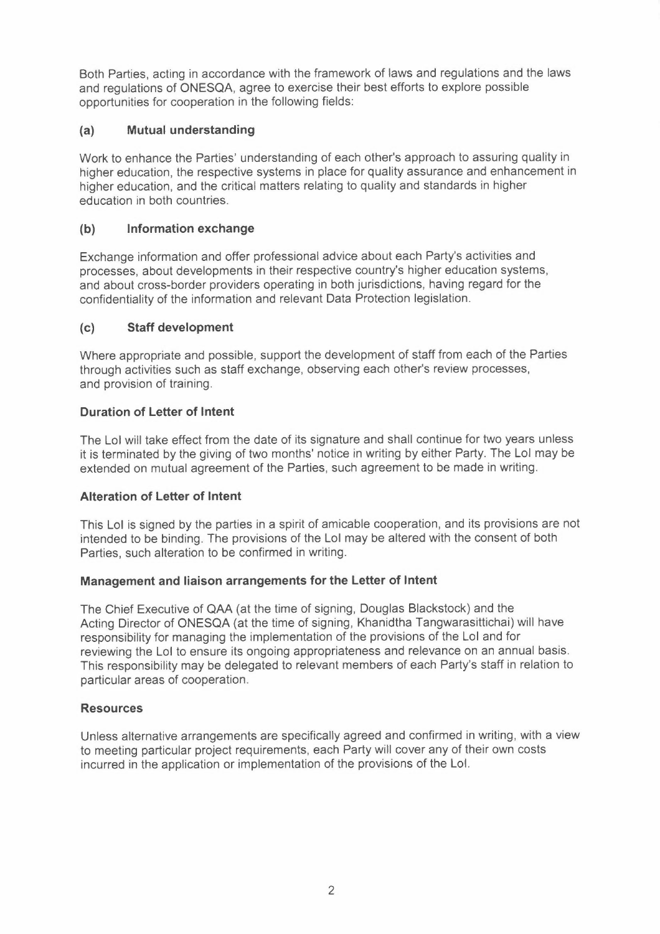Both Parties, acting in accordance with the framework of laws and regulations and the laws and regulations of ONESQA, agree to exercise their best efforts to explore possible opportunities for cooperation in the following fields:

## **(a) Mutual understanding**

Work to enhance the Parties' understanding of each other's approach to assuring quality in higher education, the respective systems in place for quality assurance and enhancement in higher education, and the critical matters relating to quality and standards in higher education in both countries.

## **(b) Information exchange**

Exchange information and offer professional advice about each Party's activities and processes, about developments in their respective country's higher education systems, and about cross-border providers operating in both jurisdictions, having regard for the confidentiality of the information and relevant Data Protection legislation.

## **(c) Staff development**

Where appropriate and possible, support the development of staff from each of the Parties through activities such as staff exchange, observing each other's review processes, and provision of training.

## **Duration of Letter of Intent**

The Lol will take effect from the date of its signature and shall continue for two years unless it is terminated by the giving of two months' notice in writing by either Party. The Lol may be extended on mutual agreement of the Parties, such agreement to be made in writing.

## **Alteration of Letter of Intent**

This Lol is signed by the parties in a spirit of amicable cooperation, and its provisions are not intended to be binding. The provisions of the Lol may be altered with the consent of both Parties, such alteration to be confirmed in writing.

## **Management and liaison arrangements for the Letter of Intent**

The Chief Executive of QAA (at the time of signing, Douglas Blackstock) and the Acting Director of ONESQA (at the time of signing, Khanidtha Tangwarasittichai) will have responsibility for managing the implementation of the provisions of the Lol and for reviewing the Lol to ensure its ongoing appropriateness and relevance on an annual basis. This responsibility may be delegated to relevant members of each Party's staff in relation to particular areas of cooperation.

## **Resources**

Unless alternative arrangements are specifically agreed and confirmed in writing, with a view to meeting particular project requirements, each Party will cover any of their own costs incurred in the application or implementation of the provisions of the Lol.